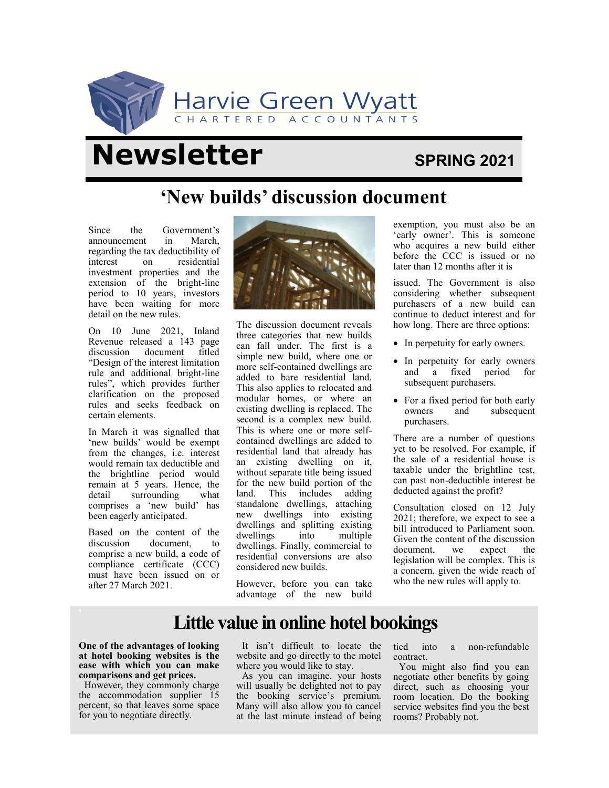

# **Newsletter** SPRING 2021

## **'New builds' discussion document**

Since the Government's announcement in March, regarding the tax deductibility of interest on residential investment properties and the extension of the bright-line period to 10 years, investors have been waiting for more detail on the new rules.

On 10 June 2021, Inland Revenue released a 143 page discussion document titled "Design of the interest limitation rule and additional bright-line rules", which provides further clarification on the proposed rules and seeks feedback on certain elements.

In March it was signalled that 'new builds' would be exempt from the changes, i.e. interest would remain tax deductible and the brightline period would remain at 5 years. Hence, the detail surrounding what comprises a 'new build' has been eagerly anticipated.

Based on the content of the discussion document, to comprise a new build, a code of compliance certificate (CCC) must have been issued on or after 27 March 2021.



The discussion document reveals three categories that new builds can fall under. The first is a simple new build, where one or more self-contained dwellings are added to bare residential land. This also applies to relocated and modular homes, or where an existing dwelling is replaced. The second is a complex new build. This is where one or more selfcontained dwellings are added to residential land that already has an existing dwelling on it, without separate title being issued for the new build portion of the land. This includes adding standalone dwellings, attaching new dwellings into existing dwellings and splitting existing dwellings into multiple dwellings. Finally, commercial to residential conversions are also considered new builds.

However, before you can take advantage of the new build exemption, you must also be an 'early owner'. This is someone who acquires a new build either before the CCC is issued or no later than 12 months after it is

issued. The Government is also considering whether subsequent purchasers of a new build can continue to deduct interest and for how long. There are three options:

- In perpetuity for early owners.
- In perpetuity for early owners and a fixed period for subsequent purchasers.
- For a fixed period for both early owners and subsequent purchasers.

There are a number of questions yet to be resolved. For example, if the sale of a residential house is taxable under the brightline test, can past non-deductible interest be deducted against the profit?

Consultation closed on 12 July 2021; therefore, we expect to see a bill introduced to Parliament soon. Given the content of the discussion document, we expect the legislation will be complex. This is a concern, given the wide reach of who the new rules will apply to.

## **Little value in online hotel bookings**

**One of the advantages of looking at hotel booking websites is the ease with which you can make comparisons and get prices.** 

However, they commonly charge the accommodation supplier 15 percent, so that leaves some space for you to negotiate directly.

It isn't difficult to locate the website and go directly to the motel where you would like to stay.

As you can imagine, your hosts will usually be delighted not to pay the booking service's premium. Many will also allow you to cancel at the last minute instead of being tied into a non-refundable contract.

You might also find you can negotiate other benefits by going direct, such as choosing your room location. Do the booking service websites find you the best rooms? Probably not.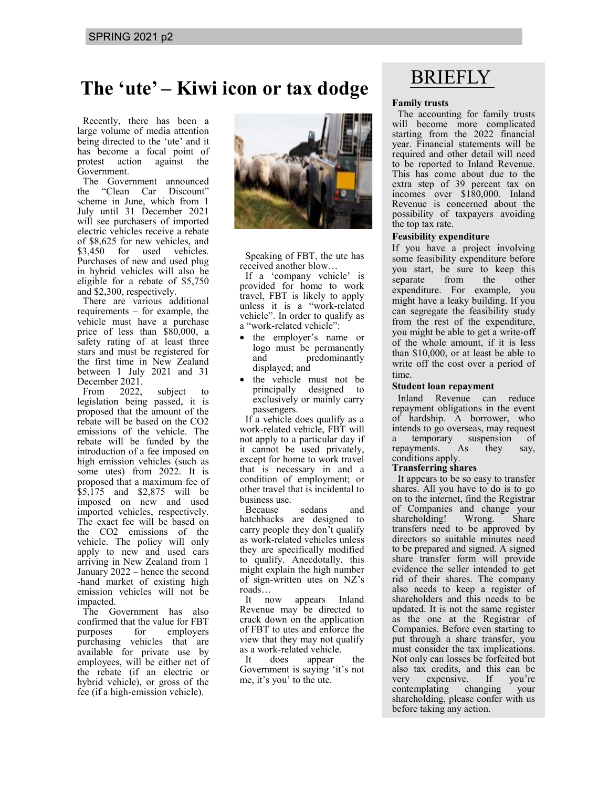# BRIEFLY **The 'ute' – Kiwi icon or tax dodge**

Recently, there has been a large volume of media attention being directed to the 'ute' and it has become a focal point of protest action against the Government.

The Government announced the "Clean Car Discount" scheme in June, which from 1 July until 31 December 2021 will see purchasers of imported electric vehicles receive a rebate of \$8,625 for new vehicles, and \$3,450 for used vehicles. Purchases of new and used plug in hybrid vehicles will also be eligible for a rebate of \$5,750 and \$2,300, respectively.

There are various additional requirements – for example, the vehicle must have a purchase price of less than \$80,000, a safety rating of at least three stars and must be registered for the first time in New Zealand between 1 July 2021 and 31

December 2021.<br>From 2022. From 2022, subject to legislation being passed, it is proposed that the amount of the rebate will be based on the CO2 emissions of the vehicle. The rebate will be funded by the introduction of a fee imposed on high emission vehicles (such as some utes) from 2022. It is proposed that a maximum fee of \$5,175 and \$2,875 will be imposed on new and used imported vehicles, respectively. The exact fee will be based on the CO2 emissions of the vehicle. The policy will only apply to new and used cars arriving in New Zealand from 1 January 2022 – hence the second -hand market of existing high emission vehicles will not be impacted.

The Government has also confirmed that the value for FBT purposes for employers purchasing vehicles that are available for private use by employees, will be either net of the rebate (if an electric or hybrid vehicle), or gross of the fee (if a high-emission vehicle).



Speaking of FBT, the ute has received another blow…

If a 'company vehicle' is provided for home to work travel, FBT is likely to apply unless it is a "work-related vehicle". In order to qualify as a "work-related vehicle":

- the employer's name or logo must be permanently and predominantly displayed; and
- the vehicle must not be principally designed to exclusively or mainly carry passengers.

If a vehicle does qualify as a work-related vehicle, FBT will not apply to a particular day if it cannot be used privately, except for home to work travel that is necessary in and a condition of employment; or other travel that is incidental to business use.

Because sedans and hatchbacks are designed to carry people they don't qualify as work-related vehicles unless they are specifically modified to qualify. Anecdotally, this might explain the high number of sign-written utes on NZ's roads…

It now appears Inland Revenue may be directed to crack down on the application of FBT to utes and enforce the view that they may not qualify as a work-related vehicle.

It does appear the Government is saying 'it's not me, it's you' to the ute.

## **Family trusts**

The accounting for family trusts will become more complicated starting from the 2022 financial year. Financial statements will be required and other detail will need to be reported to Inland Revenue. This has come about due to the extra step of 39 percent tax on incomes over \$180,000. Inland Revenue is concerned about the possibility of taxpayers avoiding the top tax rate.

## **Feasibility expenditure**

If you have a project involving some feasibility expenditure before you start, be sure to keep this separate from the other expenditure. For example, you might have a leaky building. If you can segregate the feasibility study from the rest of the expenditure, you might be able to get a write-off of the whole amount, if it is less than \$10,000, or at least be able to write off the cost over a period of time.

### **Student loan repayment**

Inland Revenue can reduce repayment obligations in the event of hardship. A borrower, who intends to go overseas, may request a temporary suspension of repayments. As they say, conditions apply.

### **Transferring shares**

It appears to be so easy to transfer shares. All you have to do is to go on to the internet, find the Registrar of Companies and change your shareholding! Wrong. Share transfers need to be approved by directors so suitable minutes need to be prepared and signed. A signed share transfer form will provide evidence the seller intended to get rid of their shares. The company also needs to keep a register of shareholders and this needs to be updated. It is not the same register as the one at the Registrar of Companies. Before even starting to put through a share transfer, you must consider the tax implications. Not only can losses be forfeited but also tax credits, and this can be<br>very expensive. If vou're very expensive. If you're contemplating changing your shareholding, please confer with us before taking any action.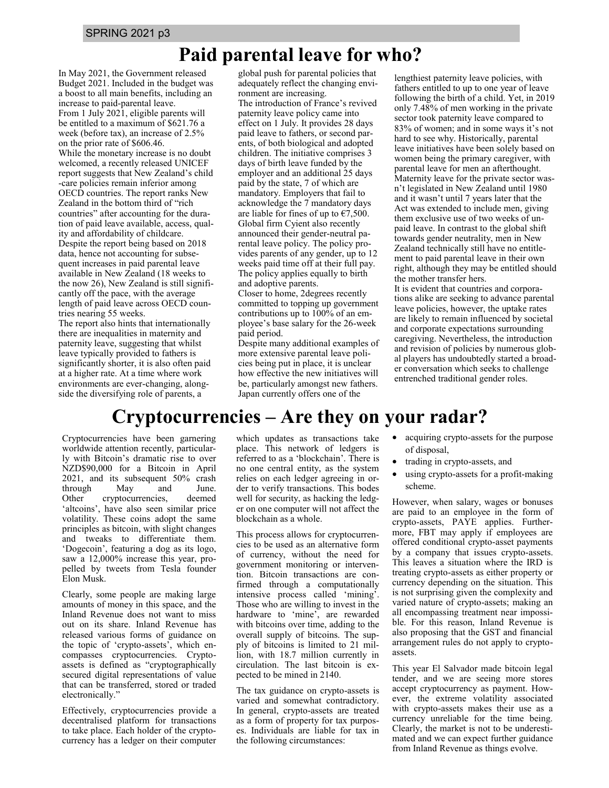## **Paid parental leave for who?**

In May 2021, the Government released Budget 2021. Included in the budget was a boost to all main benefits, including an increase to paid-parental leave. From 1 July 2021, eligible parents will be entitled to a maximum of \$621.76 a week (before tax), an increase of 2.5% on the prior rate of \$606.46. While the monetary increase is no doubt welcomed, a recently released UNICEF report suggests that New Zealand's child -care policies remain inferior among OECD countries. The report ranks New Zealand in the bottom third of "rich countries" after accounting for the duration of paid leave available, access, quality and affordability of childcare. Despite the report being based on 2018 data, hence not accounting for subsequent increases in paid parental leave available in New Zealand (18 weeks to the now 26), New Zealand is still significantly off the pace, with the average length of paid leave across OECD countries nearing 55 weeks.

The report also hints that internationally there are inequalities in maternity and paternity leave, suggesting that whilst leave typically provided to fathers is significantly shorter, it is also often paid at a higher rate. At a time where work environments are ever-changing, alongside the diversifying role of parents, a

global push for parental policies that adequately reflect the changing environment are increasing. The introduction of France's revived paternity leave policy came into effect on 1 July. It provides 28 days paid leave to fathers, or second parents, of both biological and adopted children. The initiative comprises 3 days of birth leave funded by the employer and an additional 25 days paid by the state, 7 of which are mandatory. Employers that fail to acknowledge the 7 mandatory days are liable for fines of up to  $\epsilon$ 7,500. Global firm Cyient also recently announced their gender-neutral parental leave policy. The policy provides parents of any gender, up to 12 weeks paid time off at their full pay. The policy applies equally to birth and adoptive parents.

Closer to home, 2degrees recently committed to topping up government contributions up to 100% of an employee's base salary for the 26-week paid period.

Despite many additional examples of more extensive parental leave policies being put in place, it is unclear how effective the new initiatives will be, particularly amongst new fathers. Japan currently offers one of the

lengthiest paternity leave policies, with fathers entitled to up to one year of leave following the birth of a child. Yet, in 2019 only 7.48% of men working in the private sector took paternity leave compared to 83% of women; and in some ways it's not hard to see why. Historically, parental leave initiatives have been solely based on women being the primary caregiver, with parental leave for men an afterthought. Maternity leave for the private sector wasn't legislated in New Zealand until 1980 and it wasn't until 7 years later that the Act was extended to include men, giving them exclusive use of two weeks of unpaid leave. In contrast to the global shift towards gender neutrality, men in New Zealand technically still have no entitlement to paid parental leave in their own right, although they may be entitled should the mother transfer hers.

It is evident that countries and corporations alike are seeking to advance parental leave policies, however, the uptake rates are likely to remain influenced by societal and corporate expectations surrounding caregiving. Nevertheless, the introduction and revision of policies by numerous global players has undoubtedly started a broader conversation which seeks to challenge entrenched traditional gender roles.

## **Cryptocurrencies – Are they on your radar?**

Cryptocurrencies have been garnering worldwide attention recently, particularly with Bitcoin's dramatic rise to over NZD\$90,000 for a Bitcoin in April 2021, and its subsequent 50% crash through May and June. Other cryptocurrencies, deemed 'altcoins', have also seen similar price volatility. These coins adopt the same principles as bitcoin, with slight changes and tweaks to differentiate them. 'Dogecoin', featuring a dog as its logo, saw a 12,000% increase this year, propelled by tweets from Tesla founder Elon Musk.

Clearly, some people are making large amounts of money in this space, and the Inland Revenue does not want to miss out on its share. Inland Revenue has released various forms of guidance on the topic of 'crypto-assets', which encompasses cryptocurrencies. Cryptoassets is defined as "cryptographically secured digital representations of value that can be transferred, stored or traded electronically."

Effectively, cryptocurrencies provide a decentralised platform for transactions to take place. Each holder of the cryptocurrency has a ledger on their computer

which updates as transactions take place. This network of ledgers is referred to as a 'blockchain'. There is no one central entity, as the system relies on each ledger agreeing in order to verify transactions. This bodes well for security, as hacking the ledger on one computer will not affect the blockchain as a whole.

This process allows for cryptocurrencies to be used as an alternative form of currency, without the need for government monitoring or intervention. Bitcoin transactions are confirmed through a computationally intensive process called 'mining'. Those who are willing to invest in the hardware to 'mine', are rewarded with bitcoins over time, adding to the overall supply of bitcoins. The supply of bitcoins is limited to 21 million, with 18.7 million currently in circulation. The last bitcoin is expected to be mined in 2140.

The tax guidance on crypto-assets is varied and somewhat contradictory. In general, crypto-assets are treated as a form of property for tax purposes. Individuals are liable for tax in the following circumstances:

- acquiring crypto-assets for the purpose of disposal,
- trading in crypto-assets, and
- using crypto-assets for a profit-making scheme.

However, when salary, wages or bonuses are paid to an employee in the form of crypto-assets, PAYE applies. Furthermore, FBT may apply if employees are offered conditional crypto-asset payments by a company that issues crypto-assets. This leaves a situation where the IRD is treating crypto-assets as either property or currency depending on the situation. This is not surprising given the complexity and varied nature of crypto-assets; making an all encompassing treatment near impossible. For this reason, Inland Revenue is also proposing that the GST and financial arrangement rules do not apply to cryptoassets.

This year El Salvador made bitcoin legal tender, and we are seeing more stores accept cryptocurrency as payment. However, the extreme volatility associated with crypto-assets makes their use as a currency unreliable for the time being. Clearly, the market is not to be underestimated and we can expect further guidance from Inland Revenue as things evolve.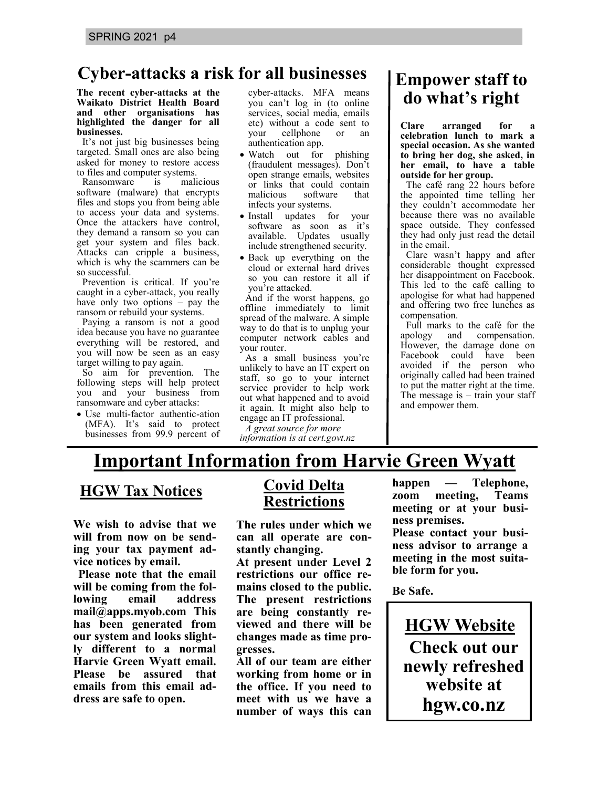## **Cyber-attacks a risk for all businesses**

#### **The recent cyber-attacks at the Waikato District Health Board and other organisations has highlighted the danger for all businesses.**

It's not just big businesses being targeted. Small ones are also being asked for money to restore access to files and computer systems.

Ransomware is malicious software (malware) that encrypts files and stops you from being able to access your data and systems. Once the attackers have control, they demand a ransom so you can get your system and files back. Attacks can cripple a business, which is why the scammers can be so successful.

Prevention is critical. If you're caught in a cyber-attack, you really have only two options – pay the ransom or rebuild your systems.

Paying a ransom is not a good idea because you have no guarantee everything will be restored, and you will now be seen as an easy target willing to pay again.

So aim for prevention. The following steps will help protect you and your business from ransomware and cyber attacks:

• Use multi-factor authentic-ation (MFA). It's said to protect businesses from 99.9 percent of cyber-attacks. MFA means you can't log in (to online services, social media, emails etc) without a code sent to your cellphone or an authentication app.

- Watch out for phishing (fraudulent messages). Don't open strange emails, websites or links that could contain malicious software that infects your systems.
- Install updates for your software as soon as it's available. Updates usually include strengthened security.
- Back up everything on the cloud or external hard drives so you can restore it all if you're attacked.

And if the worst happens, go offline immediately to limit spread of the malware. A simple way to do that is to unplug your computer network cables and your router.

As a small business you're unlikely to have an IT expert on staff, so go to your internet service provider to help work out what happened and to avoid it again. It might also help to engage an IT professional.

*A great source for more information is at cert.govt.nz*

## **Empower staff to do what's right**

**Clare arranged for a celebration lunch to mark a special occasion. As she wanted to bring her dog, she asked, in her email, to have a table outside for her group.**

The café rang 22 hours before the appointed time telling her they couldn't accommodate her because there was no available space outside. They confessed they had only just read the detail in the email.

Clare wasn't happy and after considerable thought expressed her disappointment on Facebook. This led to the café calling to apologise for what had happened and offering two free lunches as compensation.

Full marks to the café for the apology and compensation. However, the damage done on Facebook could have been avoided if the person who originally called had been trained to put the matter right at the time. The message is  $-$  train your staff and empower them.

## **Important Information from Harvie Green Wyatt**

**HGW Tax Notices**

**We wish to advise that we will from now on be sending your tax payment advice notices by email.**

**Please note that the email will be coming from the following email address mail@apps.myob.com This has been generated from our system and looks slightly different to a normal Harvie Green Wyatt email. Please be assured that emails from this email address are safe to open.**

## **Covid Delta Restrictions**

**The rules under which we can all operate are constantly changing.**

**At present under Level 2 restrictions our office remains closed to the public. The present restrictions are being constantly reviewed and there will be changes made as time progresses.**

**All of our team are either working from home or in the office. If you need to meet with us we have a number of ways this can** 

**happen — Telephone, zoom meeting, Teams meeting or at your business premises. Please contact your business advisor to arrange a meeting in the most suitable form for you.**

**Be Safe.**

**HGW Website Check out our newly refreshed website at hgw.co.nz**